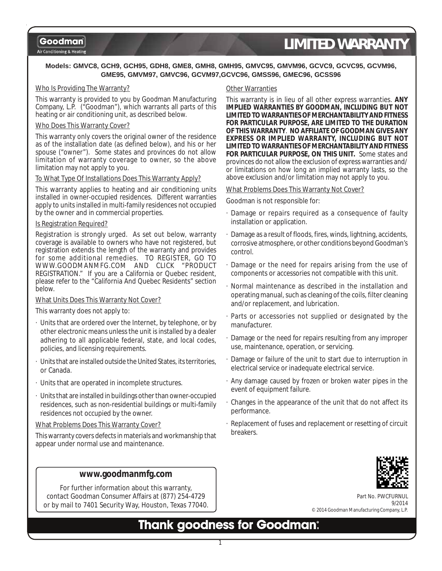Air Conditioning & Heating

# *LIMITED WARRANTY*

#### **Models: GMVC8, GCH9, GCH95, GDH8, GME8, GMH8, GMH95, GMVC95, GMVM96, GCVC9, GCVC95, GCVM96, GME95, GMVM97, GMVC96, GCVM97,GCVC96, GMSS96, GMEC96, GCSS96**

#### Who Is Providing The Warranty?

This warranty is provided to you by Goodman Manufacturing Company, L.P. ("Goodman"), which warrants all parts of this heating or air conditioning unit, as described below.

#### Who Does This Warranty Cover?

This warranty only covers the original owner of the residence as of the installation date (as defined below), and his or her spouse ("owner"). Some states and provinces do not allow limitation of warranty coverage to owner, so the above limitation may not apply to you.

#### To What Type Of Installations Does This Warranty Apply?

This warranty applies to heating and air conditioning units installed in owner-occupied residences. Different warranties apply to units installed in multi-family residences not occupied by the owner and in commercial properties.

#### Is Registration Required?

Registration is strongly urged. As set out below, warranty coverage is available to owners who have not registered, but registration extends the length of the warranty and provides for some additional remedies. TO REGISTER, GO TO WWW.GOODMANMFG.COM AND CLICK "PRODUCT REGISTRATION." If you are a California or Quebec resident, please refer to the "California And Quebec Residents" section below.

#### What Units Does This Warranty Not Cover?

This warranty does not apply to:

- · Units that are ordered over the Internet, by telephone, or by other electronic means unless the unit is installed by a dealer adhering to all applicable federal, state, and local codes, policies, and licensing requirements.
- Units that are installed outside the United States, its territories, or Canada.
- · Units that are operated in incomplete structures.
- Units that are installed in buildings other than owner-occupied residences, such as non-residential buildings or multi-family residences not occupied by the owner.

#### What Problems Does This Warranty Cover?

This warranty covers defects in materials and workmanship that appear under normal use and maintenance.

#### **www.goodmanmfg.com**

For further information about this warranty, contact Goodman Consumer Affairs at (877) 254-4729 or by mail to 7401 Security Way, Houston, Texas 77040.

#### Other Warranties

This warranty is in lieu of all other express warranties. **ANY IMPLIED WARRANTIES BY GOODMAN, INCLUDING BUT NOT LIMITED TO WARRANTIES OF MERCHANTABILITY AND FITNESS FOR PARTICULAR PURPOSE, ARE LIMITED TO THE DURATION OF THIS WARRANTY**. **NO AFFILIATE OF GOODMAN GIVES ANY EXPRESS OR IMPLIED WARRANTY, INCLUDING BUT NOT LIMITED TO WARRANTIES OF MERCHANTABILITY AND FITNESS FOR PARTICULAR PURPOSE, ON THIS UNIT.** Some states and provinces do not allow the exclusion of express warranties and/ or limitations on how long an implied warranty lasts, so the above exclusion and/or limitation may not apply to you.

#### What Problems Does This Warranty Not Cover?

Goodman is not responsible for:

- · Damage or repairs required as a consequence of faulty installation or application.
- · Damage as a result of floods, fires, winds, lightning, accidents, corrosive atmosphere, or other conditions beyond Goodman's control.
- · Damage or the need for repairs arising from the use of components or accessories not compatible with this unit.
- · Normal maintenance as described in the installation and operating manual, such as cleaning of the coils, filter cleaning and/or replacement, and lubrication.
- · Parts or accessories not supplied or designated by the manufacturer.
- · Damage or the need for repairs resulting from any improper use, maintenance, operation, or servicing.
- · Damage or failure of the unit to start due to interruption in electrical service or inadequate electrical service.
- · Any damage caused by frozen or broken water pipes in the event of equipment failure.
- · Changes in the appearance of the unit that do not affect its performance.
- · Replacement of fuses and replacement or resetting of circuit breakers.



Part No. PW 9/2014 © 2014 Goodman Manufacturing Company, L.P.

## **Thank goodness for Goodman:**

1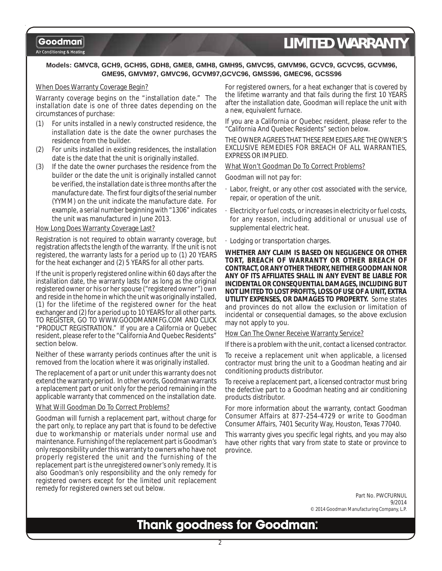#### Air Conditioning & Heating

# *LIMITED WARRANTY*

#### **Models: GMVC8, GCH9, GCH95, GDH8, GME8, GMH8, GMH95, GMVC95, GMVM96, GCVC9, GCVC95, GCVM96, GME95, GMVM97, GMVC96, GCVM97,GCVC96, GMSS96, GMEC96, GCSS96**

#### When Does Warranty Coverage Begin?

Warranty coverage begins on the "installation date." The installation date is one of three dates depending on the circumstances of purchase:

- (1) For units installed in a newly constructed residence, the installation date is the date the owner purchases the residence from the builder.
- (2) For units installed in existing residences, the installation date is the date that the unit is originally installed.
- (3) If the date the owner purchases the residence from the builder or the date the unit is originally installed cannot be verified, the installation date is three months after the manufacture date. The first four digits of the serial number (YYMM) on the unit indicate the manufacture date. For example, a serial number beginning with "1306" indicates the unit was manufactured in June 2013.

#### How Long Does Warranty Coverage Last?

Registration is not required to obtain warranty coverage, but registration affects the length of the warranty. If the unit is not registered, the warranty lasts for a period up to (1) 20 YEARS for the heat exchanger and (2) 5 YEARS for all other parts.

If the unit is properly registered online within 60 days after the installation date, the warranty lasts for as long as the original registered owner or his or her spouse ("registered owner") own and reside in the home in which the unit was originally installed, (1) for the lifetime of the registered owner for the heat exchanger and (2) for a period up to 10 YEARS for all other parts. TO REGISTER, GO TO WWW.GOODMANMFG.COM AND CLICK "PRODUCT REGISTRATION." If you are a California or Quebec resident, please refer to the "California And Quebec Residents" section below.

Neither of these warranty periods continues after the unit is removed from the location where it was originally installed.

The replacement of a part or unit under this warranty does not extend the warranty period. In other words, Goodman warrants a replacement part or unit only for the period remaining in the applicable warranty that commenced on the installation date.

#### What Will Goodman Do To Correct Problems?

Goodman will furnish a replacement part, without charge for the part only, to replace any part that is found to be defective due to workmanship or materials under normal use and maintenance. Furnishing of the replacement part is Goodman's only responsibility under this warranty to owners who have not properly registered the unit and the furnishing of the replacement part is the unregistered owner's only remedy. It is also Goodman's only responsibility and the only remedy for registered owners except for the limited unit replacement remedy for registered owners set out below.

For registered owners, for a heat exchanger that is covered by the lifetime warranty and that fails during the first 10 YEARS after the installation date, Goodman will replace the unit with a new, equivalent furnace.

If you are a California or Quebec resident, please refer to the "California And Quebec Residents" section below.

THE OWNER AGREES THAT THESE REMEDIES ARE THE OWNER'S EXCLUSIVE REMEDIES FOR BREACH OF ALL WARRANTIES, EXPRESS OR IMPLIED.

#### What Won't Goodman Do To Correct Problems?

Goodman will not pay for:

- · Labor, freight, or any other cost associated with the service, repair, or operation of the unit.
- Electricity or fuel costs, or increases in electricity or fuel costs, for any reason, including additional or unusual use of supplemental electric heat.
- · Lodging or transportation charges.

**WHETHER ANY CLAIM IS BASED ON NEGLIGENCE OR OTHER TORT, BREACH OF WARRANTY OR OTHER BREACH OF CONTRACT, OR ANY OTHER THEORY, NEITHER GOODMAN NOR ANY OF ITS AFFILIATES SHALL IN ANY EVENT BE LIABLE FOR INCIDENTAL OR CONSEQUENTIAL DAMAGES, INCLUDING BUT NOT LIMITED TO LOST PROFITS, LOSS OF USE OF A UNIT, EXTRA UTILITY EXPENSES, OR DAMAGES TO PROPERTY.** Some states and provinces do not allow the exclusion or limitation of incidental or consequential damages, so the above exclusion may not apply to you.

How Can The Owner Receive Warranty Service?

If there is a problem with the unit, contact a licensed contractor.

To receive a replacement unit when applicable, a licensed contractor must bring the unit to a Goodman heating and air conditioning products distributor.

To receive a replacement part, a licensed contractor must bring the defective part to a Goodman heating and air conditioning products distributor.

For more information about the warranty, contact Goodman Consumer Affairs at 877-254-4729 or write to Goodman Consumer Affairs, 7401 Security Way, Houston, Texas 77040.

This warranty gives you specific legal rights, and you may also have other rights that vary from state to state or province to province.

> Part No. PWCFURNUL 9/2014 © 2014 Goodman Manufacturing Company, L.P.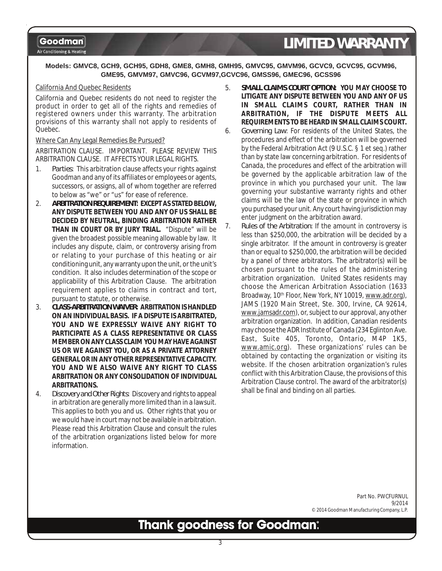Air Conditioning & Heating

# *LIMITED WARRANTY*

#### **Models: GMVC8, GCH9, GCH95, GDH8, GME8, GMH8, GMH95, GMVC95, GMVM96, GCVC9, GCVC95, GCVM96, GME95, GMVM97, GMVC96, GCVM97,GCVC96, GMSS96, GMEC96, GCSS96**

#### California And Quebec Residents

California and Quebec residents do not need to register the product in order to get all of the rights and remedies of registered owners under this warranty. The arbitration provisions of this warranty shall not apply to residents of Quebec.

#### Where Can Any Legal Remedies Be Pursued?

ARBITRATION CLAUSE. IMPORTANT. PLEASE REVIEW THIS ARBITRATION CLAUSE. IT AFFECTS YOUR LEGAL RIGHTS.

- 1. *Parties*: This arbitration clause affects your rights against Goodman and any of its affiliates or employees or agents, successors, or assigns, all of whom together are referred to below as "we" or "us" for ease of reference.
- 2. *ARBITRATION REQUIREMENT***: EXCEPT AS STATED BELOW, ANY DISPUTE BETWEEN YOU AND ANY OF US SHALL BE DECIDED BY NEUTRAL, BINDING ARBITRATION RATHER THAN IN COURT OR BY JURY TRIAL.** "Dispute" will be given the broadest possible meaning allowable by law. It includes any dispute, claim, or controversy arising from or relating to your purchase of this heating or air conditioning unit, any warranty upon the unit, or the unit's condition. It also includes determination of the scope or applicability of this Arbitration Clause. The arbitration requirement applies to claims in contract and tort, pursuant to statute, or otherwise.
- 3. *CLASS-ARBITRATION WAIVER***: ARBITRATION IS HANDLED ON AN INDIVIDUAL BASIS. IF A DISPUTE IS ARBITRATED, YOU AND WE EXPRESSLY WAIVE ANY RIGHT TO PARTICIPATE AS A CLASS REPRESENTATIVE OR CLASS MEMBER ON ANY CLASS CLAIM YOU MAY HAVE AGAINST US OR WE AGAINST YOU, OR AS A PRIVATE ATTORNEY GENERAL OR IN ANY OTHER REPRESENTATIVE CAPACITY. YOU AND WE ALSO WAIVE ANY RIGHT TO CLASS ARBITRATION OR ANY CONSOLIDATION OF INDIVIDUAL ARBITRATIONS.**
- 4. *Discovery and Other Rights*: Discovery and rights to appeal in arbitration are generally more limited than in a lawsuit. This applies to both you and us. Other rights that you or we would have in court may not be available in arbitration. Please read this Arbitration Clause and consult the rules of the arbitration organizations listed below for more information.
- 5. *SMALL CLAIMS COURT OPTION***: YOU MAY CHOOSE TO LITIGATE ANY DISPUTE BETWEEN YOU AND ANY OF US IN SMALL CLAIMS COURT, RATHER THAN IN ARBITRATION, IF THE DISPUTE MEETS ALL REQUIREMENTS TO BE HEARD IN SMALL CLAIMS COURT.** 6. *Governing Law*: For residents of the United States, the procedures and effect of the arbitration will be governed by the Federal Arbitration Act (9 U.S.C. § 1 et seq.) rather than by state law concerning arbitration. For residents of Canada, the procedures and effect of the arbitration will be governed by the applicable arbitration law of the province in which you purchased your unit. The law governing your substantive warranty rights and other claims will be the law of the state or province in which you purchased your unit. Any court having jurisdiction may enter judgment on the arbitration award.
- 7. *Rules of the Arbitration*: If the amount in controversy is less than \$250,000, the arbitration will be decided by a single arbitrator. If the amount in controversy is greater than or equal to \$250,000, the arbitration will be decided by a panel of three arbitrators. The arbitrator(s) will be chosen pursuant to the rules of the administering arbitration organization. United States residents may choose the American Arbitration Association (1633 Broadway, 10<sup>th</sup> Floor, New York, NY 10019, www.adr.org), JAMS (1920 Main Street, Ste. 300, Irvine, CA 92614, www.jamsadr.com), or, subject to our approval, any other arbitration organization. In addition, Canadian residents may choose the ADR Institute of Canada (234 Eglinton Ave. East, Suite 405, Toronto, Ontario, M4P 1K5, www.amic.org). These organizations' rules can be obtained by contacting the organization or visiting its website. If the chosen arbitration organization's rules conflict with this Arbitration Clause, the provisions of this Arbitration Clause control. The award of the arbitrator(s) shall be final and binding on all parties.

Part No. PWCFURNUL 9/2014 © 2014 Goodman Manufacturing Company, L.P.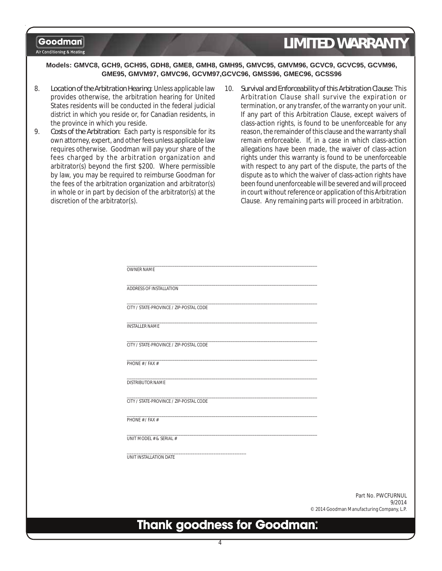#### Air Conditioning & Heating

# *LIMITED WARRANTY*

#### **Models: GMVC8, GCH9, GCH95, GDH8, GME8, GMH8, GMH95, GMVC95, GMVM96, GCVC9, GCVC95, GCVM96, GME95, GMVM97, GMVC96, GCVM97,GCVC96, GMSS96, GMEC96, GCSS96**

- 8. *Location of the Arbitration Hearing*: Unless applicable law provides otherwise, the arbitration hearing for United States residents will be conducted in the federal judicial district in which you reside or, for Canadian residents, in the province in which you reside.
- 9. *Costs of the Arbitration*: Each party is responsible for its own attorney, expert, and other fees unless applicable law requires otherwise. Goodman will pay your share of the fees charged by the arbitration organization and arbitrator(s) beyond the first \$200. Where permissible by law, you may be required to reimburse Goodman for the fees of the arbitration organization and arbitrator(s) in whole or in part by decision of the arbitrator(s) at the discretion of the arbitrator(s).
- 10. *Survival and Enforceability of this Arbitration Clause*: This Arbitration Clause shall survive the expiration or termination, or any transfer, of the warranty on your unit. If any part of this Arbitration Clause, except waivers of class-action rights, is found to be unenforceable for any reason, the remainder of this clause and the warranty shall remain enforceable. If, in a case in which class-action allegations have been made, the waiver of class-action rights under this warranty is found to be unenforceable with respect to any part of the dispute, the parts of the dispute as to which the waiver of class-action rights have been found unenforceable will be severed and will proceed in court without reference or application of this Arbitration Clause. Any remaining parts will proceed in arbitration.

| <b>OWNER NAME</b>                                                                                                                                                                                                                                      |                                            |  |
|--------------------------------------------------------------------------------------------------------------------------------------------------------------------------------------------------------------------------------------------------------|--------------------------------------------|--|
| ADDRESS OF INSTALLATION                                                                                                                                                                                                                                |                                            |  |
| CITY / STATE-PROVINCE / ZIP-POSTAL CODE                                                                                                                                                                                                                |                                            |  |
| the control of the control of the control of the control of the control of the control of the control of the control of the control of the control of the control of the control of the control of the control of the control<br><b>INSTALLER NAME</b> |                                            |  |
| CITY / STATE-PROVINCE / ZIP-POSTAL CODE                                                                                                                                                                                                                |                                            |  |
| the contract of the contract of the contract of the contract of the contract of the contract of<br>PHONE # / FAX $#$                                                                                                                                   |                                            |  |
| DISTRIBUTOR NAME                                                                                                                                                                                                                                       |                                            |  |
| <u> 1989 - Johann John Stone, markin film yn y brenin y brenin y brenin y brenin y brenin y brenin y brenin y br</u><br>CITY / STATE-PROVINCE / ZIP-POSTAL CODE                                                                                        |                                            |  |
| PHONE # / FAX #                                                                                                                                                                                                                                        |                                            |  |
| UNIT MODEL # & SERIAL #                                                                                                                                                                                                                                |                                            |  |
| UNIT INSTALLATION DATE                                                                                                                                                                                                                                 |                                            |  |
|                                                                                                                                                                                                                                                        |                                            |  |
|                                                                                                                                                                                                                                                        | Part No. PWCFURNUL<br>9/2014               |  |
|                                                                                                                                                                                                                                                        | © 2014 Goodman Manufacturing Company, L.P. |  |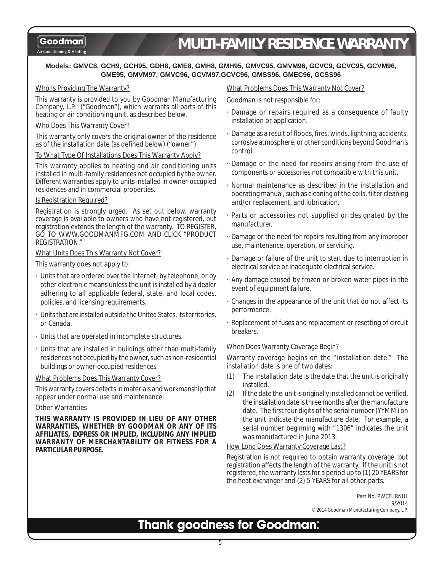#### Air Conditioning & Heating

# *MULTI-FAMILY RESIDENCE WARRANTY*

#### **Models: GMVC8, GCH9, GCH95, GDH8, GME8, GMH8, GMH95, GMVC95, GMVM96, GCVC9, GCVC95, GCVM96, GME95, GMVM97, GMVC96, GCVM97,GCVC96, GMSS96, GMEC96, GCSS96**

#### Who Is Providing The Warranty?

This warranty is provided to you by Goodman Manufacturing Company, L.P. ("Goodman"), which warrants all parts of this heating or air conditioning unit, as described below.

#### Who Does This Warranty Cover?

This warranty only covers the original owner of the residence as of the installation date (as defined below) ("owner").

#### To What Type Of Installations Does This Warranty Apply?

This warranty applies to heating and air conditioning units installed in multi-family residences not occupied by the owner. Different warranties apply to units installed in owner-occupied residences and in commercial properties.

#### Is Registration Required?

Registration is strongly urged. As set out below, warranty coverage is available to owners who have not registered, but registration extends the length of the warranty. TO REGISTER, GO TO WWW.GOODMANMFG.COM AND CLICK "PRODUCT REGISTRATION."

#### What Units Does This Warranty Not Cover?

This warranty does not apply to:

- · Units that are ordered over the Internet, by telephone, or by other electronic means unless the unit is installed by a dealer adhering to all applicable federal, state, and local codes, policies, and licensing requirements.
- · Units that are installed outside the United States, its territories, or Canada.
- · Units that are operated in incomplete structures.
- · Units that are installed in buildings other than multi-family residences not occupied by the owner, such as non-residential buildings or owner-occupied residences.

#### What Problems Does This Warranty Cover?

This warranty covers defects in materials and workmanship that appear under normal use and maintenance.

#### Other Warranties

**THIS WARRANTY IS PROVIDED IN LIEU OF ANY OTHER WARRANTIES, WHETHER BY GOODMAN OR ANY OF ITS AFFILIATES, EXPRESS OR IMPLIED, INCLUDING ANY IMPLIED WARRANTY OF MERCHANTABILITY OR FITNESS FOR A PARTICULAR PURPOSE.**

#### What Problems Does This Warranty Not Cover?

Goodman is not responsible for:

- Damage or repairs required as a consequence of faulty installation or application.
- · Damage as a result of floods, fires, winds, lightning, accidents, corrosive atmosphere, or other conditions beyond Goodman's control.
- · Damage or the need for repairs arising from the use of components or accessories not compatible with this unit.
- · Normal maintenance as described in the installation and operating manual, such as cleaning of the coils, filter cleaning and/or replacement, and lubrication.
- · Parts or accessories not supplied or designated by the manufacturer.
- Damage or the need for repairs resulting from any improper use, maintenance, operation, or servicing.
- Damage or failure of the unit to start due to interruption in electrical service or inadequate electrical service.
- · Any damage caused by frozen or broken water pipes in the event of equipment failure.
- · Changes in the appearance of the unit that do not affect its performance.
- · Replacement of fuses and replacement or resetting of circuit breakers.

#### When Does Warranty Coverage Begin?

Warranty coverage begins on the "installation date." The installation date is one of two dates:

- (1) The installation date is the date that the unit is originally installed.
- (2) If the date the unit is originally installed cannot be verified, the installation date is three months after the manufacture date. The first four digits of the serial number (YYMM) on the unit indicate the manufacture date. For example, a serial number beginning with "1306" indicates the unit was manufactured in June 2013.

#### How Long Does Warranty Coverage Last?

Registration is not required to obtain warranty coverage, but registration affects the length of the warranty. If the unit is not registered, the warranty lasts for a period up to (1) 20 YEARS for the heat exchanger and (2) 5 YEARS for all other parts.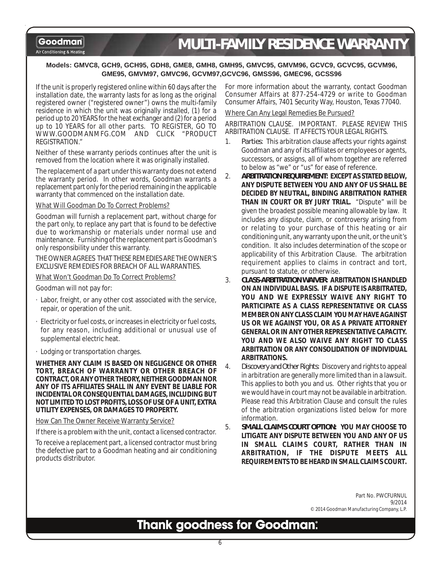#### Air Conditioning & Heating

# *MULTI-FAMILY RESIDENCE WARRANTY*

#### **Models: GMVC8, GCH9, GCH95, GDH8, GME8, GMH8, GMH95, GMVC95, GMVM96, GCVC9, GCVC95, GCVM96, GME95, GMVM97, GMVC96, GCVM97,GCVC96, GMSS96, GMEC96, GCSS96**

If the unit is properly registered online within 60 days after the installation date, the warranty lasts for as long as the original registered owner ("registered owner") owns the multi-family residence in which the unit was originally installed, (1) for a period up to 20 YEARS for the heat exchanger and (2) for a period up to 10 YEARS for all other parts. TO REGISTER, GO TO WWW.GOODMANMFG.COM AND CLICK "PRODUCT REGISTRATION."

Neither of these warranty periods continues after the unit is removed from the location where it was originally installed.

The replacement of a part under this warranty does not extend the warranty period. In other words, Goodman warrants a replacement part only for the period remaining in the applicable warranty that commenced on the installation date.

#### What Will Goodman Do To Correct Problems?

Goodman will furnish a replacement part, without charge for the part only, to replace any part that is found to be defective due to workmanship or materials under normal use and maintenance. Furnishing of the replacement part is Goodman's only responsibility under this warranty.

THE OWNER AGREES THAT THESE REMEDIES ARE THE OWNER'S EXCLUSIVE REMEDIES FOR BREACH OF ALL WARRANTIES.

What Won't Goodman Do To Correct Problems?

Goodman will not pay for:

- · Labor, freight, or any other cost associated with the service, repair, or operation of the unit.
- · Electricity or fuel costs, or increases in electricity or fuel costs, for any reason, including additional or unusual use of supplemental electric heat.
- · Lodging or transportation charges.

**WHETHER ANY CLAIM IS BASED ON NEGLIGENCE OR OTHER TORT, BREACH OF WARRANTY OR OTHER BREACH OF CONTRACT, OR ANY OTHER THEORY, NEITHER GOODMAN NOR ANY OF ITS AFFILIATES SHALL IN ANY EVENT BE LIABLE FOR INCIDENTAL OR CONSEQUENTIAL DAMAGES, INCLUDING BUT NOT LIMITED TO LOST PROFITS, LOSS OF USE OF A UNIT, EXTRA UTILITY EXPENSES, OR DAMAGES TO PROPERTY.**

How Can The Owner Receive Warranty Service?

If there is a problem with the unit, contact a licensed contractor.

To receive a replacement part, a licensed contractor must bring the defective part to a Goodman heating and air conditioning products distributor.

For more information about the warranty, contact Goodman Consumer Affairs at 877-254-4729 or write to Goodman Consumer Affairs, 7401 Security Way, Houston, Texas 77040.

#### Where Can Any Legal Remedies Be Pursued?

ARBITRATION CLAUSE. IMPORTANT. PLEASE REVIEW THIS ARBITRATION CLAUSE. IT AFFECTS YOUR LEGAL RIGHTS.

- 1. *Parties*: This arbitration clause affects your rights against Goodman and any of its affiliates or employees or agents, successors, or assigns, all of whom together are referred to below as "we" or "us" for ease of reference.
- 2. *ARBITRATION REQUIREMENT***: EXCEPT AS STATED BELOW, ANY DISPUTE BETWEEN YOU AND ANY OF US SHALL BE DECIDED BY NEUTRAL, BINDING ARBITRATION RATHER THAN IN COURT OR BY JURY TRIAL.** "Dispute" will be given the broadest possible meaning allowable by law. It includes any dispute, claim, or controversy arising from or relating to your purchase of this heating or air conditioning unit, any warranty upon the unit, or the unit's condition. It also includes determination of the scope or applicability of this Arbitration Clause. The arbitration requirement applies to claims in contract and tort, pursuant to statute, or otherwise.
- 3. *CLASS-ARBITRATION WAIVER***: ARBITRATION IS HANDLED ON AN INDIVIDUAL BASIS. IF A DISPUTE IS ARBITRATED, YOU AND WE EXPRESSLY WAIVE ANY RIGHT TO PARTICIPATE AS A CLASS REPRESENTATIVE OR CLASS MEMBER ON ANY CLASS CLAIM YOU MAY HAVE AGAINST US OR WE AGAINST YOU, OR AS A PRIVATE ATTORNEY GENERAL OR IN ANY OTHER REPRESENTATIVE CAPACITY. YOU AND WE ALSO WAIVE ANY RIGHT TO CLASS ARBITRATION OR ANY CONSOLIDATION OF INDIVIDUAL ARBITRATIONS.**
- 4. *Discovery and Other Rights*: Discovery and rights to appeal in arbitration are generally more limited than in a lawsuit. This applies to both you and us. Other rights that you or we would have in court may not be available in arbitration. Please read this Arbitration Clause and consult the rules of the arbitration organizations listed below for more information.
- 5. *SMALL CLAIMS COURT OPTION***: YOU MAY CHOOSE TO LITIGATE ANY DISPUTE BETWEEN YOU AND ANY OF US IN SMALL CLAIMS COURT, RATHER THAN IN ARBITRATION, IF THE DISPUTE MEETS ALL REQUIREMENTS TO BE HEARD IN SMALL CLAIMS COURT.**

Part No. PWCFURNUL 9/2014 © 2014 Goodman Manufacturing Company, L.P.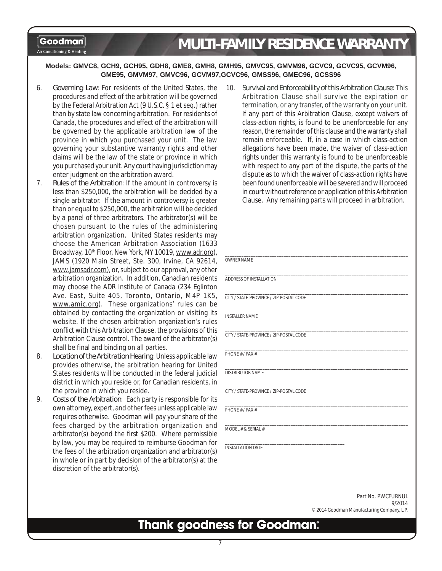# *MULTI-FAMILY RESIDENCE WARRANTY*

#### Air Conditioning & Heating

#### **Models: GMVC8, GCH9, GCH95, GDH8, GME8, GMH8, GMH95, GMVC95, GMVM96, GCVC9, GCVC95, GCVM96, GME95, GMVM97, GMVC96, GCVM97,GCVC96, GMSS96, GMEC96, GCSS96**

- 6. *Governing Law*: For residents of the United States, the procedures and effect of the arbitration will be governed by the Federal Arbitration Act (9 U.S.C. § 1 et seq.) rather than by state law concerning arbitration. For residents of Canada, the procedures and effect of the arbitration will be governed by the applicable arbitration law of the province in which you purchased your unit. The law governing your substantive warranty rights and other claims will be the law of the state or province in which you purchased your unit. Any court having jurisdiction may enter judgment on the arbitration award.
- 7. *Rules of the Arbitration*: If the amount in controversy is less than \$250,000, the arbitration will be decided by a single arbitrator. If the amount in controversy is greater than or equal to \$250,000, the arbitration will be decided by a panel of three arbitrators. The arbitrator(s) will be chosen pursuant to the rules of the administering arbitration organization. United States residents may choose the American Arbitration Association (1633 Broadway, 10<sup>th</sup> Floor, New York, NY 10019, www.adr.org JAMS (1920 Main Street, Ste. 300, Irvine, CA 926 www.jamsadr.com), or, subject to our approval, any of arbitration organization. In addition, Canadian reside may choose the ADR Institute of Canada (234 Eglington) Ave. East, Suite 405, Toronto, Ontario, M4P 1 www.amic.org). These organizations' rules can obtained by contacting the organization or visiting website. If the chosen arbitration organization's r conflict with this Arbitration Clause, the provisions of Arbitration Clause control. The award of the arbitrator shall be final and binding on all parties.
- 8. *Location of the Arbitration Hearing*: Unless applicable provides otherwise, the arbitration hearing for Unit States residents will be conducted in the federal judi district in which you reside or, for Canadian residents the province in which you reside.
- 9. *Costs of the Arbitration*: Each party is responsible for own attorney, expert, and other fees unless applicable requires otherwise. Goodman will pay your share of fees charged by the arbitration organization arbitrator(s) beyond the first \$200. Where permiss by law, you may be required to reimburse Goodman the fees of the arbitration organization and arbitrator in whole or in part by decision of the arbitrator(s) at discretion of the arbitrator(s).

10. *Survival and Enforceability of this Arbitration Clause*: This Arbitration Clause shall survive the expiration or termination, or any transfer, of the warranty on your unit. If any part of this Arbitration Clause, except waivers of class-action rights, is found to be unenforceable for any reason, the remainder of this clause and the warranty shall remain enforceable. If, in a case in which class-action allegations have been made, the waiver of class-action rights under this warranty is found to be unenforceable with respect to any part of the dispute, the parts of the dispute as to which the waiver of class-action rights have been found unenforceable will be severed and will proceed in court without reference or application of this Arbitration Clause. Any remaining parts will proceed in arbitration.

| <b>OWNER NAME</b>                       |
|-----------------------------------------|
| ADDRESS OF INSTALLATION                 |
| CITY / STATE-PROVINCE / ZIP-POSTAL CODE |
| <b>INSTALLER NAME</b>                   |
| CITY / STATE-PROVINCE / ZIP-POSTAL CODE |
| PHONE # / FAX #                         |
| <b>DISTRIBUTOR NAME</b>                 |
| CITY / STATE-PROVINCE / ZIP-POSTAL CODE |
| PHONE # / FAX #                         |
| MODEL # & SERIAL #                      |
| <b>INSTALLATION DATE</b>                |

Part No. PWCFURNUL 9/2014 © 2014 Goodman Manufacturing Company, L.P.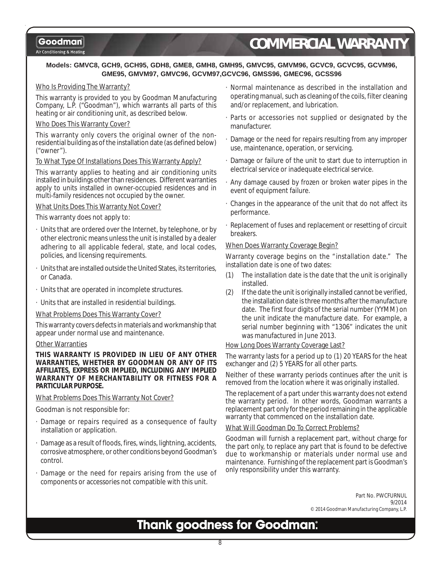Air Conditioning & Heating

# *COMMERCIAL WARRANTY*

#### **Models: GMVC8, GCH9, GCH95, GDH8, GME8, GMH8, GMH95, GMVC95, GMVM96, GCVC9, GCVC95, GCVM96, GME95, GMVM97, GMVC96, GCVM97,GCVC96, GMSS96, GMEC96, GCSS96**

#### Who Is Providing The Warranty?

This warranty is provided to you by Goodman Manufacturing Company, L.P. ("Goodman"), which warrants all parts of this heating or air conditioning unit, as described below.

#### Who Does This Warranty Cover?

This warranty only covers the original owner of the nonresidential building as of the installation date (as defined below) ("owner").

#### To What Type Of Installations Does This Warranty Apply?

This warranty applies to heating and air conditioning units installed in buildings other than residences. Different warranties apply to units installed in owner-occupied residences and in multi-family residences not occupied by the owner.

#### What Units Does This Warranty Not Cover?

This warranty does not apply to:

- · Units that are ordered over the Internet, by telephone, or by other electronic means unless the unit is installed by a dealer adhering to all applicable federal, state, and local codes, policies, and licensing requirements.
- Units that are installed outside the United States, its territories, or Canada.
- · Units that are operated in incomplete structures.
- · Units that are installed in residential buildings.

#### What Problems Does This Warranty Cover?

This warranty covers defects in materials and workmanship that appear under normal use and maintenance.

#### **Other Warranties**

**THIS WARRANTY IS PROVIDED IN LIEU OF ANY OTHER WARRANTIES, WHETHER BY GOODMAN OR ANY OF ITS AFFILIATES, EXPRESS OR IMPLIED, INCLUDING ANY IMPLIED WARRANTY OF MERCHANTABILITY OR FITNESS FOR A PARTICULAR PURPOSE.**

What Problems Does This Warranty Not Cover?

Goodman is not responsible for:

- · Damage or repairs required as a consequence of faulty installation or application.
- Damage as a result of floods, fires, winds, lightning, accidents, corrosive atmosphere, or other conditions beyond Goodman's control.
- Damage or the need for repairs arising from the use of components or accessories not compatible with this unit.
- · Normal maintenance as described in the installation and operating manual, such as cleaning of the coils, filter cleaning and/or replacement, and lubrication.
- · Parts or accessories not supplied or designated by the manufacturer.
- · Damage or the need for repairs resulting from any improper use, maintenance, operation, or servicing.
- · Damage or failure of the unit to start due to interruption in electrical service or inadequate electrical service.
- · Any damage caused by frozen or broken water pipes in the event of equipment failure.
- · Changes in the appearance of the unit that do not affect its performance.
- · Replacement of fuses and replacement or resetting of circuit breakers.

#### When Does Warranty Coverage Begin?

Warranty coverage begins on the "installation date." The installation date is one of two dates:

- (1) The installation date is the date that the unit is originally installed.
- (2) If the date the unit is originally installed cannot be verified, the installation date is three months after the manufacture date. The first four digits of the serial number (YYMM) on the unit indicate the manufacture date. For example, a serial number beginning with "1306" indicates the unit was manufactured in June 2013.

#### How Long Does Warranty Coverage Last?

The warranty lasts for a period up to (1) 20 YEARS for the heat exchanger and (2) 5 YEARS for all other parts.

Neither of these warranty periods continues after the unit is removed from the location where it was originally installed.

The replacement of a part under this warranty does not extend the warranty period. In other words, Goodman warrants a replacement part only for the period remaining in the applicable warranty that commenced on the installation date.

#### What Will Goodman Do To Correct Problems?

Goodman will furnish a replacement part, without charge for the part only, to replace any part that is found to be defective due to workmanship or materials under normal use and maintenance. Furnishing of the replacement part is Goodman's only responsibility under this warranty.

> Part No. PWCFURNUL 9/2014 © 2014 Goodman Manufacturing Company, L.P.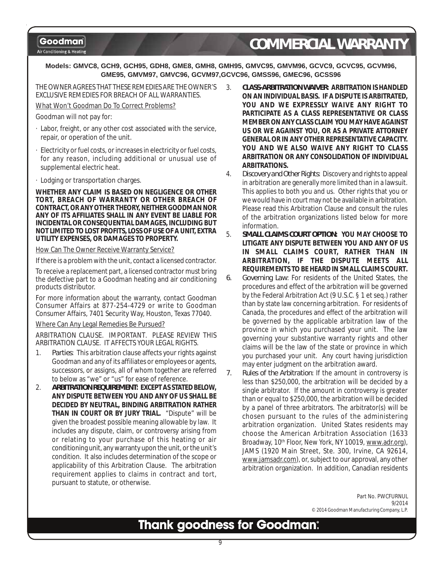Air Conditioning & Heating

# *COMMERCIAL WARRANTY*

**Models: GMVC8, GCH9, GCH95, GDH8, GME8, GMH8, GMH95, GMVC95, GMVM96, GCVC9, GCVC95, GCVM96, GME95, GMVM97, GMVC96, GCVM97,GCVC96, GMSS96, GMEC96, GCSS96**

THE OWNER AGREES THAT THESE REMEDIES ARE THE OWNER'S EXCLUSIVE REMEDIES FOR BREACH OF ALL WARRANTIES.

What Won't Goodman Do To Correct Problems?

Goodman will not pay for:

- · Labor, freight, or any other cost associated with the service, repair, or operation of the unit.
- Electricity or fuel costs, or increases in electricity or fuel costs, for any reason, including additional or unusual use of supplemental electric heat.
- · Lodging or transportation charges.

**WHETHER ANY CLAIM IS BASED ON NEGLIGENCE OR OTHER TORT, BREACH OF WARRANTY OR OTHER BREACH OF CONTRACT, OR ANY OTHER THEORY, NEITHER GOODMAN NOR ANY OF ITS AFFILIATES SHALL IN ANY EVENT BE LIABLE FOR INCIDENTAL OR CONSEQUENTIAL DAMAGES, INCLUDING BUT NOT LIMITED TO LOST PROFITS, LOSS OF USE OF A UNIT, EXTRA UTILITY EXPENSES, OR DAMAGES TO PROPERTY.**

#### How Can The Owner Receive Warranty Service?

If there is a problem with the unit, contact a licensed contractor.

To receive a replacement part, a licensed contractor must bring the defective part to a Goodman heating and air conditioning products distributor.

For more information about the warranty, contact Goodman Consumer Affairs at 877-254-4729 or write to Goodman Consumer Affairs, 7401 Security Way, Houston, Texas 77040.

Where Can Any Legal Remedies Be Pursued?

ARBITRATION CLAUSE. IMPORTANT. PLEASE REVIEW THIS ARBITRATION CLAUSE. IT AFFECTS YOUR LEGAL RIGHTS.

- 1. *Parties*: This arbitration clause affects your rights against Goodman and any of its affiliates or employees or agents, successors, or assigns, all of whom together are referred to below as "we" or "us" for ease of reference.
- 2. *ARBITRATION REQUIREMENT***: EXCEPT AS STATED BELOW, ANY DISPUTE BETWEEN YOU AND ANY OF US SHALL BE DECIDED BY NEUTRAL, BINDING ARBITRATION RATHER THAN IN COURT OR BY JURY TRIAL.** "Dispute" will be given the broadest possible meaning allowable by law. It includes any dispute, claim, or controversy arising from or relating to your purchase of this heating or air conditioning unit, any warranty upon the unit, or the unit's condition. It also includes determination of the scope or applicability of this Arbitration Clause. The arbitration requirement applies to claims in contract and tort, pursuant to statute, or otherwise.
- 3. *CLASS-ARBITRATION WAIVER***: ARBITRATION IS HANDLED ON AN INDIVIDUAL BASIS. IF A DISPUTE IS ARBITRATED, YOU AND WE EXPRESSLY WAIVE ANY RIGHT TO PARTICIPATE AS A CLASS REPRESENTATIVE OR CLASS MEMBER ON ANY CLASS CLAIM YOU MAY HAVE AGAINST US OR WE AGAINST YOU, OR AS A PRIVATE ATTORNEY GENERAL OR IN ANY OTHER REPRESENTATIVE CAPACITY. YOU AND WE ALSO WAIVE ANY RIGHT TO CLASS ARBITRATION OR ANY CONSOLIDATION OF INDIVIDUAL ARBITRATIONS.**
- 4. *Discovery and Other Rights*: Discovery and rights to appeal in arbitration are generally more limited than in a lawsuit. This applies to both you and us. Other rights that you or we would have in court may not be available in arbitration. Please read this Arbitration Clause and consult the rules of the arbitration organizations listed below for more information.
- 5. *SMALL CLAIMS COURT OPTION***: YOU MAY CHOOSE TO LITIGATE ANY DISPUTE BETWEEN YOU AND ANY OF US IN SMALL CLAIMS COURT, RATHER THAN IN ARBITRATION, IF THE DISPUTE MEETS ALL REQUIREMENTS TO BE HEARD IN SMALL CLAIMS COURT.**
- *6. Governing Law*: For residents of the United States, the procedures and effect of the arbitration will be governed by the Federal Arbitration Act (9 U.S.C. § 1 et seq.) rather than by state law concerning arbitration. For residents of Canada, the procedures and effect of the arbitration will be governed by the applicable arbitration law of the province in which you purchased your unit. The law governing your substantive warranty rights and other claims will be the law of the state or province in which you purchased your unit. Any court having jurisdiction may enter judgment on the arbitration award.
- *7. Rules of the Arbitration*: If the amount in controversy is less than \$250,000, the arbitration will be decided by a single arbitrator. If the amount in controversy is greater than or equal to \$250,000, the arbitration will be decided by a panel of three arbitrators. The arbitrator(s) will be chosen pursuant to the rules of the administering arbitration organization. United States residents may choose the American Arbitration Association (1633 Broadway, 10<sup>th</sup> Floor, New York, NY 10019, www.adr.org), JAMS (1920 Main Street, Ste. 300, Irvine, CA 92614, www.jamsadr.com), or, subject to our approval, any other arbitration organization. In addition, Canadian residents